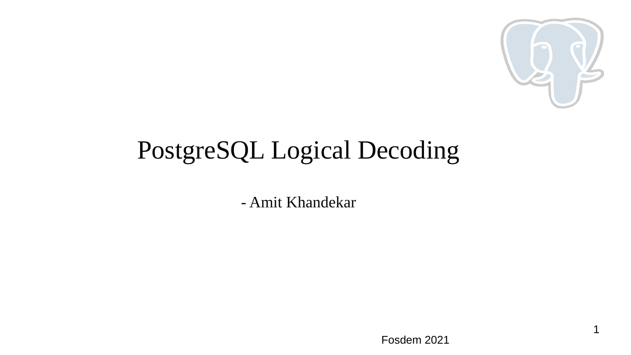

# PostgreSQL Logical Decoding

- Amit Khandekar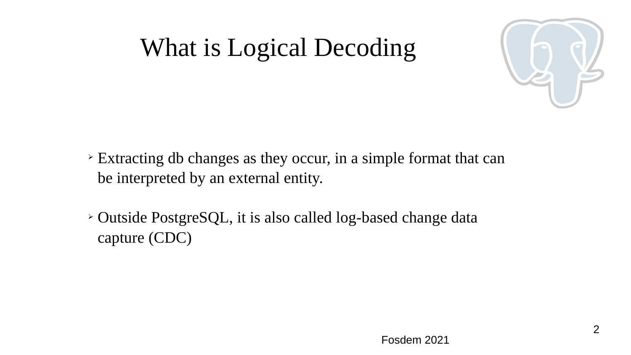## What is Logical Decoding



- ➢ Extracting db changes as they occur, in a simple format that can be interpreted by an external entity.
- ➢ Outside PostgreSQL, it is also called log-based change data capture (CDC)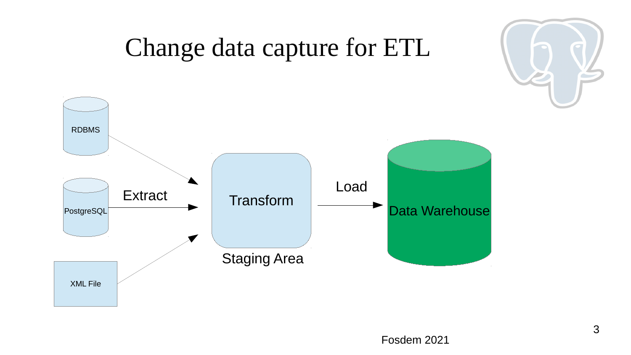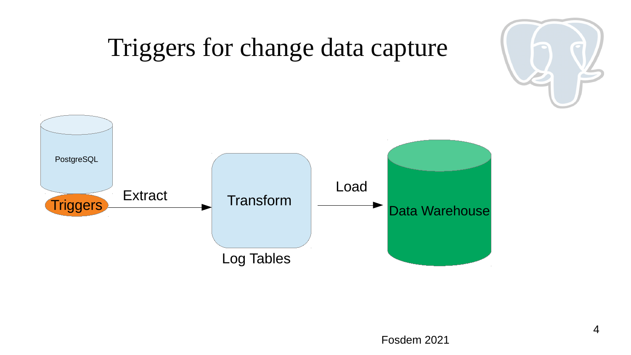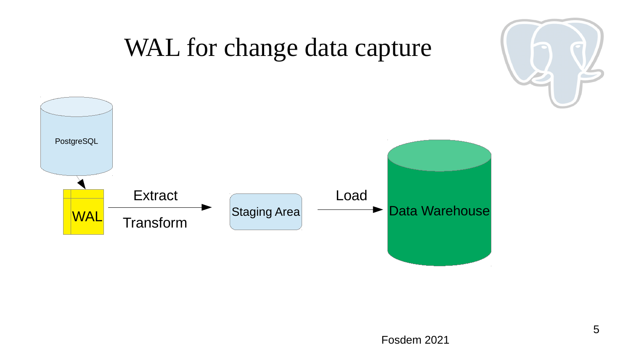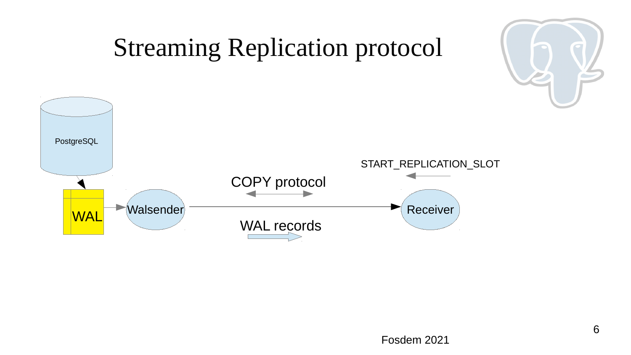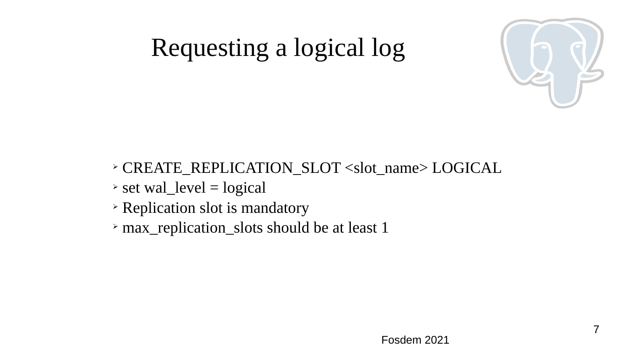## Requesting a logical log



- ➢ CREATE\_REPLICATION\_SLOT <slot\_name> LOGICAL
- ➢ set wal\_level = logical
- ➢ Replication slot is mandatory
- ➢ max\_replication\_slots should be at least 1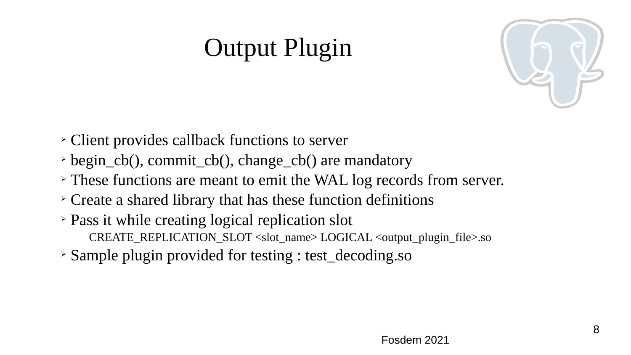# Output Plugin



- ➢ Client provides callback functions to server
- ➢ begin\_cb(), commit\_cb(), change\_cb() are mandatory
- ➢ These functions are meant to emit the WAL log records from server.
- ➢ Create a shared library that has these function definitions
- ➢ Pass it while creating logical replication slot CREATE\_REPLICATION\_SLOT <slot\_name> LOGICAL <output\_plugin\_file>.so
- ➢ Sample plugin provided for testing : test\_decoding.so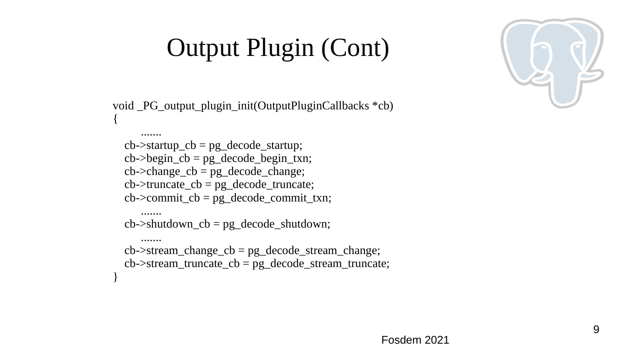# Output Plugin (Cont)

```
void _PG_output_plugin_init(OutputPluginCallbacks *cb)
{
      .......
  cb->startup cb = pg decode startup;
  cb->begin cb = pg decode begin txn;
   cb->change_cb = pg_decode_change;
  cb-\getruncate cb = pg decode truncate;
  cb->commit_cb = pg_decode_commit_txn;
      .......
  cb->shutdown_cb = pg_decode_shutdown;
      .......
   cb->stream_change_cb = pg_decode_stream_change;
  cb->stream_truncate_cb = pg_decode_stream_truncate;
}
```
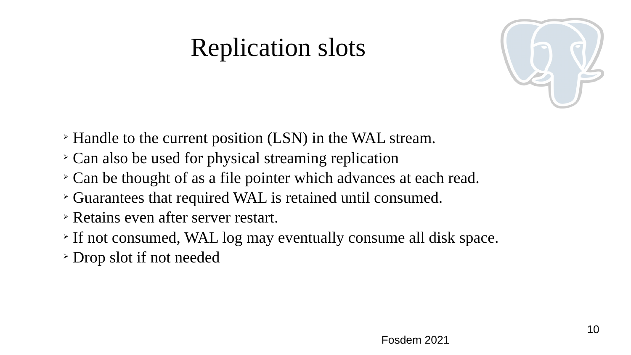# Replication slots



- ➢ Handle to the current position (LSN) in the WAL stream.
- ➢ Can also be used for physical streaming replication
- ➢ Can be thought of as a file pointer which advances at each read.
- ➢ Guarantees that required WAL is retained until consumed.
- ➢ Retains even after server restart.
- ➢ If not consumed, WAL log may eventually consume all disk space.
- ➢ Drop slot if not needed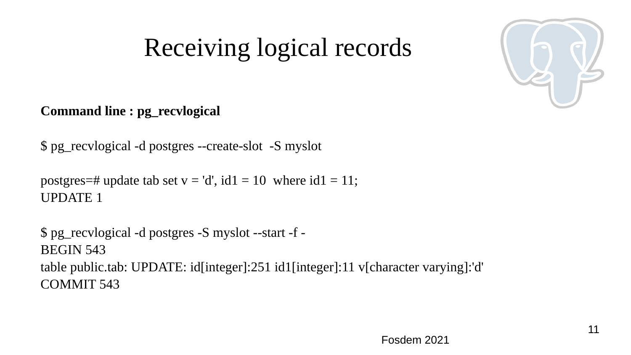# Receiving logical records



#### **Command line : pg\_recvlogical**

\$ pg\_recvlogical -d postgres --create-slot -S myslot

```
postgres=# update tab set v = 'd', id1 = 10 where id1 = 11;
UPDATE 1
```
\$ pg\_recvlogical -d postgres -S myslot --start -f - BEGIN 543 table public.tab: UPDATE: id[integer]:251 id1[integer]:11 v[character varying]:'d' COMMIT 543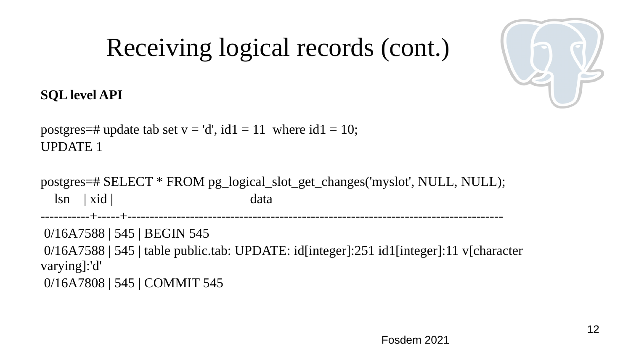# Receiving logical records (cont.)



### **SQL level API**

```
postgres=# update tab set v = 'd', id1 = 11 where id1 = 10;
UPDATE 1
```
postgres=# SELECT \* FROM pg\_logical\_slot\_get\_changes('myslot', NULL, NULL); lsn | xid | data

```
-----------+-----+------------------------------------------------------------------------------------
```
0/16A7588 | 545 | BEGIN 545

0/16A7588 | 545 | table public.tab: UPDATE: id[integer]:251 id1[integer]:11 v[character varying]:'d'

```
0/16A7808 | 545 | COMMIT 545
```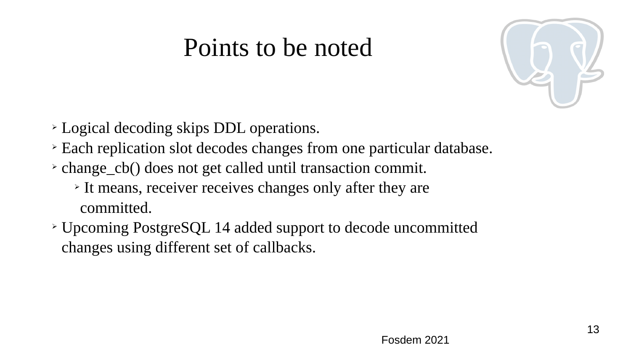## Points to be noted



- ➢ Logical decoding skips DDL operations.
- ➢ Each replication slot decodes changes from one particular database.
- ➢ change\_cb() does not get called until transaction commit.
	- ➢ It means, receiver receives changes only after they are committed.
- ➢ Upcoming PostgreSQL 14 added support to decode uncommitted changes using different set of callbacks.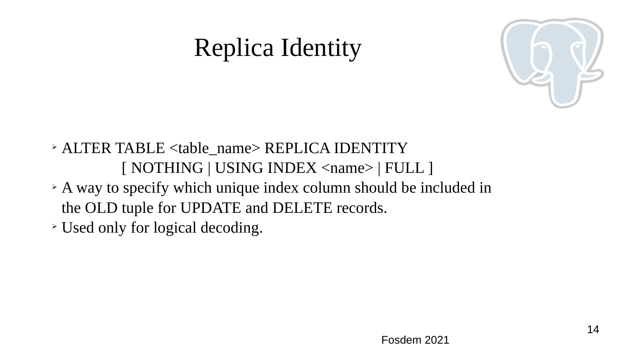# Replica Identity



➢ ALTER TABLE <table\_name> REPLICA IDENTITY [ NOTHING | USING INDEX <name> | FULL ]

- ➢ A way to specify which unique index column should be included in the OLD tuple for UPDATE and DELETE records.
- ➢ Used only for logical decoding.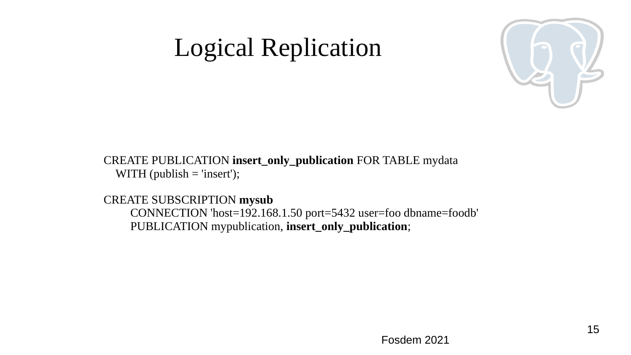# Logical Replication



CREATE PUBLICATION **insert\_only\_publication** FOR TABLE mydata WITH (publish  $=$  'insert');

CREATE SUBSCRIPTION **mysub** CONNECTION 'host=192.168.1.50 port=5432 user=foo dbname=foodb' PUBLICATION mypublication, **insert\_only\_publication**;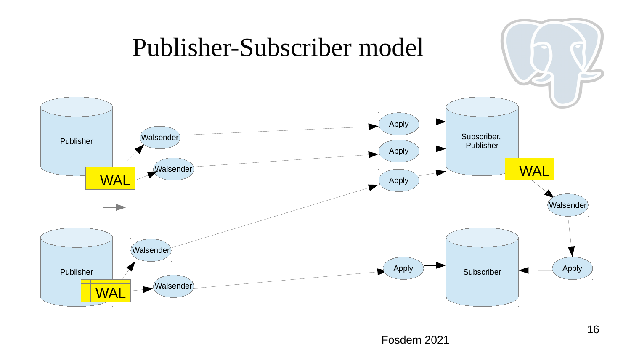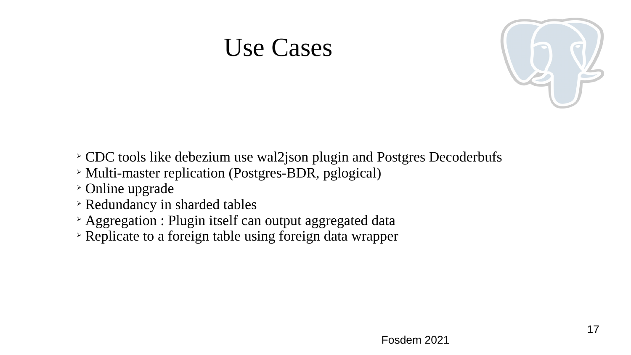## Use Cases



- ➢ CDC tools like debezium use wal2json plugin and Postgres Decoderbufs
- ➢ Multi-master replication (Postgres-BDR, pglogical)
- ➢ Online upgrade
- ➢ Redundancy in sharded tables
- ➢ Aggregation : Plugin itself can output aggregated data
- ➢ Replicate to a foreign table using foreign data wrapper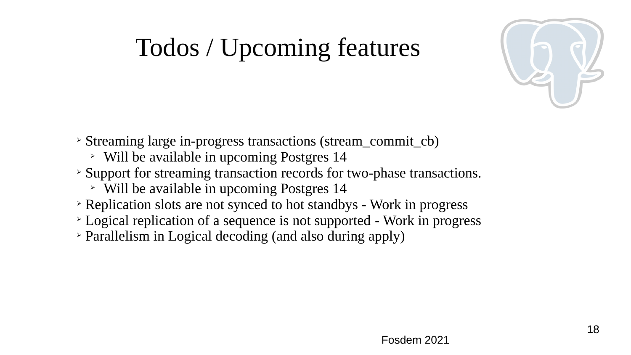# Todos / Upcoming features



- ➢ Streaming large in-progress transactions (stream\_commit\_cb)
	- ➢ Will be available in upcoming Postgres 14
- ➢ Support for streaming transaction records for two-phase transactions.
	- ➢ Will be available in upcoming Postgres 14
- ➢ Replication slots are not synced to hot standbys Work in progress
- ➢ Logical replication of a sequence is not supported Work in progress
- ➢ Parallelism in Logical decoding (and also during apply)